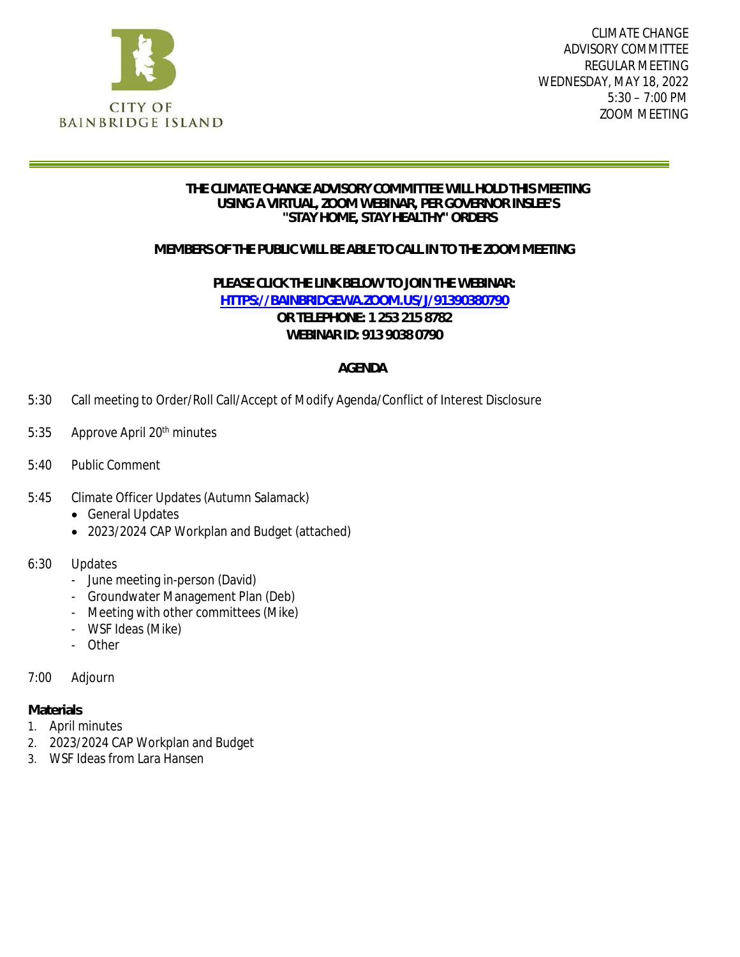

CLIMATE CHANGE ADVISORY COMMITTEE REGULAR MEETING WEDNESDAY, MAY 18, 2022 5:30 – 7:00 PM ZOOM MEETING

#### **THE CLIMATE CHANGE ADVISORY COMMITTEE WILL HOLD THIS MEETING USING A VIRTUAL, ZOOM WEBINAR, PER GOVERNOR INSLEE'S "STAY HOME, STAY HEALTHY" ORDERS**

### **MEMBERS OF THE PUBLIC WILL BE ABLE TO CALL IN TO THE ZOOM MEETING**

**PLEASE CLICK THE LINK BELOW TO JOIN THE WEBINAR: [HTTPS://BAINBRIDGEWA.ZOOM.US/J/91390380790](https://bainbridgewa.zoom.us/j/91390380790) OR TELEPHONE: 1 253 215 8782 WEBINAR ID: 913 9038 0790**

### **AGENDA**

- 5:30 Call meeting to Order/Roll Call/Accept of Modify Agenda/Conflict of Interest Disclosure
- 5:35 Approve April 20<sup>th</sup> minutes
- 5:40 Public Comment
- 5:45 Climate Officer Updates (Autumn Salamack)
	- **•** General Updates
	- 2023/2024 CAP Workplan and Budget (attached)
- 6:30 Updates
	- June meeting in-person (David)
	- Groundwater Management Plan (Deb)
	- Meeting with other committees (Mike)
	- WSF Ideas (Mike)
	- Other

#### 7:00 Adjourn

**Materials**

- 1. April minutes
- 2. 2023/2024 CAP Workplan and Budget
- 3. WSF Ideas from Lara Hansen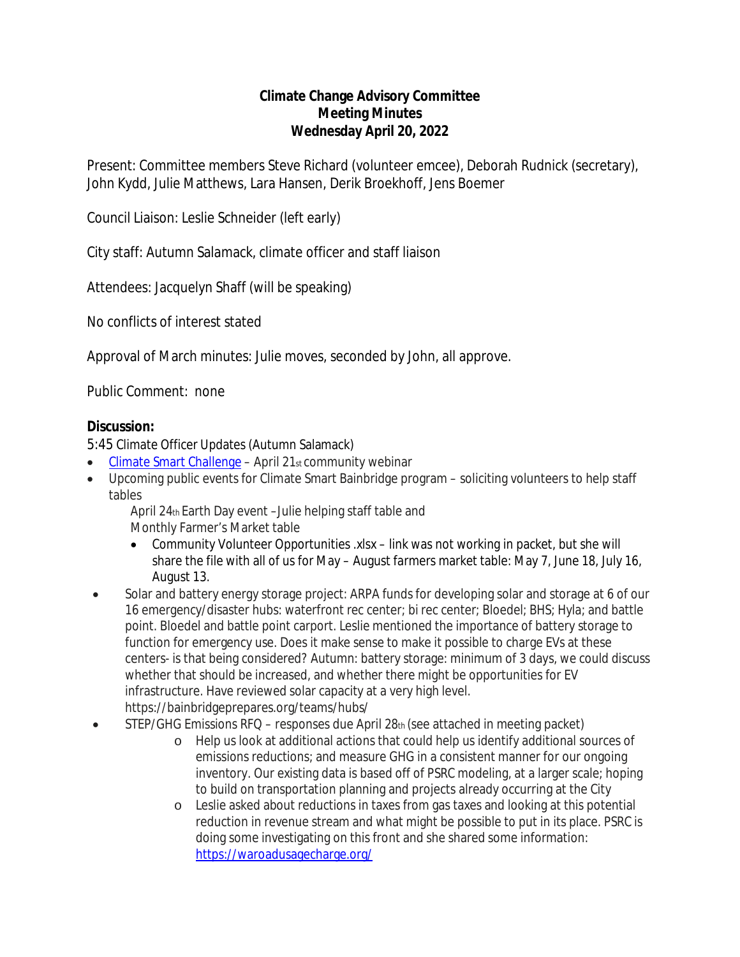### **Climate Change Advisory Committee Meeting Minutes Wednesday April 20, 2022**

Present: Committee members Steve Richard (volunteer emcee), Deborah Rudnick (secretary), John Kydd, Julie Matthews, Lara Hansen, Derik Broekhoff, Jens Boemer

Council Liaison: Leslie Schneider (left early)

City staff: Autumn Salamack, climate officer and staff liaison

Attendees: Jacquelyn Shaff (will be speaking)

No conflicts of interest stated

Approval of March minutes: Julie moves, seconded by John, all approve.

Public Comment: none

### **Discussion:**

5:45 Climate Officer Updates (Autumn Salamack)

- $\bullet$  [Climate Smart Challenge](https://www.climatesmartbainbridge.org/) April 21st community webinar
- Upcoming public events for Climate Smart Bainbridge program soliciting volunteers to help staff tables

April 24th Earth Day event –Julie helping staff table and Monthly Farmer's Market table

- Community Volunteer Opportunities .xlsx link was not working in packet, but she will share the file with all of us for May – August farmers market table: May 7, June 18, July 16, August 13.
- Solar and battery energy storage project: ARPA funds for developing solar and storage at 6 of our 16 emergency/disaster hubs: waterfront rec center; bi rec center; Bloedel; BHS; Hyla; and battle point. Bloedel and battle point carport. Leslie mentioned the importance of battery storage to function for emergency use. Does it make sense to make it possible to charge EVs at these centers- is that being considered? Autumn: battery storage: minimum of 3 days, we could discuss whether that should be increased, and whether there might be opportunities for EV infrastructure. Have reviewed solar capacity at a very high level. https://bainbridgeprepares.org/teams/hubs/
- STEP/GHG Emissions RFQ responses due April 28th (see attached in meeting packet)
	- o Help us look at additional actions that could help us identify additional sources of emissions reductions; and measure GHG in a consistent manner for our ongoing inventory. Our existing data is based off of PSRC modeling, at a larger scale; hoping to build on transportation planning and projects already occurring at the City
	- o Leslie asked about reductions in taxes from gas taxes and looking at this potential reduction in revenue stream and what might be possible to put in its place. PSRC is doing some investigating on this front and she shared some information: <https://waroadusagecharge.org/>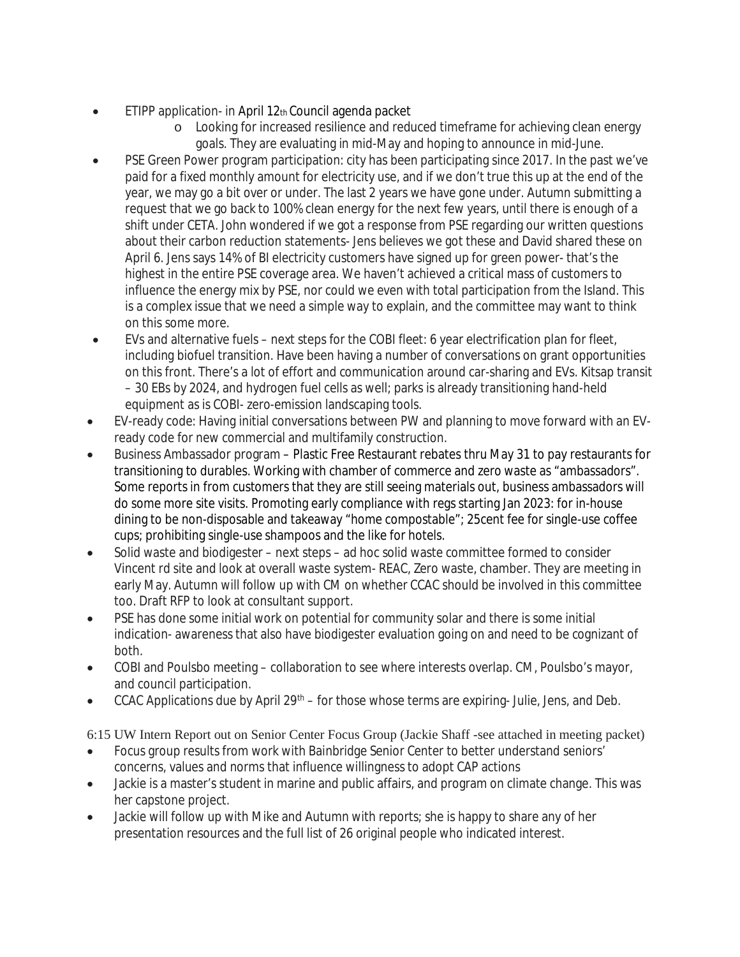- ETIPP application- in April 12th Council agenda packet
	- o Looking for increased resilience and reduced timeframe for achieving clean energy goals. They are evaluating in mid-May and hoping to announce in mid-June.
- PSE Green Power program participation: city has been participating since 2017. In the past we've paid for a fixed monthly amount for electricity use, and if we don't true this up at the end of the year, we may go a bit over or under. The last 2 years we have gone under. Autumn submitting a request that we go back to 100% clean energy for the next few years, until there is enough of a shift under CETA. John wondered if we got a response from PSE regarding our written questions about their carbon reduction statements- Jens believes we got these and David shared these on April 6. Jens says 14% of BI electricity customers have signed up for green power- that's the highest in the entire PSE coverage area. We haven't achieved a critical mass of customers to influence the energy mix by PSE, nor could we even with total participation from the Island. This is a complex issue that we need a simple way to explain, and the committee may want to think on this some more.
- EVs and alternative fuels next steps for the COBI fleet: 6 year electrification plan for fleet, including biofuel transition. Have been having a number of conversations on grant opportunities on this front. There's a lot of effort and communication around car-sharing and EVs. Kitsap transit – 30 EBs by 2024, and hydrogen fuel cells as well; parks is already transitioning hand-held equipment as is COBI- zero-emission landscaping tools.
- EV-ready code: Having initial conversations between PW and planning to move forward with an EVready code for new commercial and multifamily construction.
- Business Ambassador program Plastic Free Restaurant rebates thru May 31 to pay restaurants for transitioning to durables. Working with chamber of commerce and zero waste as "ambassadors". Some reports in from customers that they are still seeing materials out, business ambassadors will do some more site visits. Promoting early compliance with regs starting Jan 2023: for in-house dining to be non-disposable and takeaway "home compostable"; 25cent fee for single-use coffee cups; prohibiting single-use shampoos and the like for hotels.
- Solid waste and biodigester next steps ad hoc solid waste committee formed to consider Vincent rd site and look at overall waste system- REAC, Zero waste, chamber. They are meeting in early May. Autumn will follow up with CM on whether CCAC should be involved in this committee too. Draft RFP to look at consultant support.
- PSE has done some initial work on potential for community solar and there is some initial indication- awareness that also have biodigester evaluation going on and need to be cognizant of both.
- COBI and Poulsbo meeting collaboration to see where interests overlap. CM, Poulsbo's mayor, and council participation.
- CCAC Applications due by April 29<sup>th</sup> for those whose terms are expiring- Julie, Jens, and Deb.

6:15 UW Intern Report out on Senior Center Focus Group (Jackie Shaff -see attached in meeting packet)

- Focus group results from work with Bainbridge Senior Center to better understand seniors' concerns, values and norms that influence willingness to adopt CAP actions
- Jackie is a master's student in marine and public affairs, and program on climate change. This was her capstone project.
- Jackie will follow up with Mike and Autumn with reports; she is happy to share any of her presentation resources and the full list of 26 original people who indicated interest.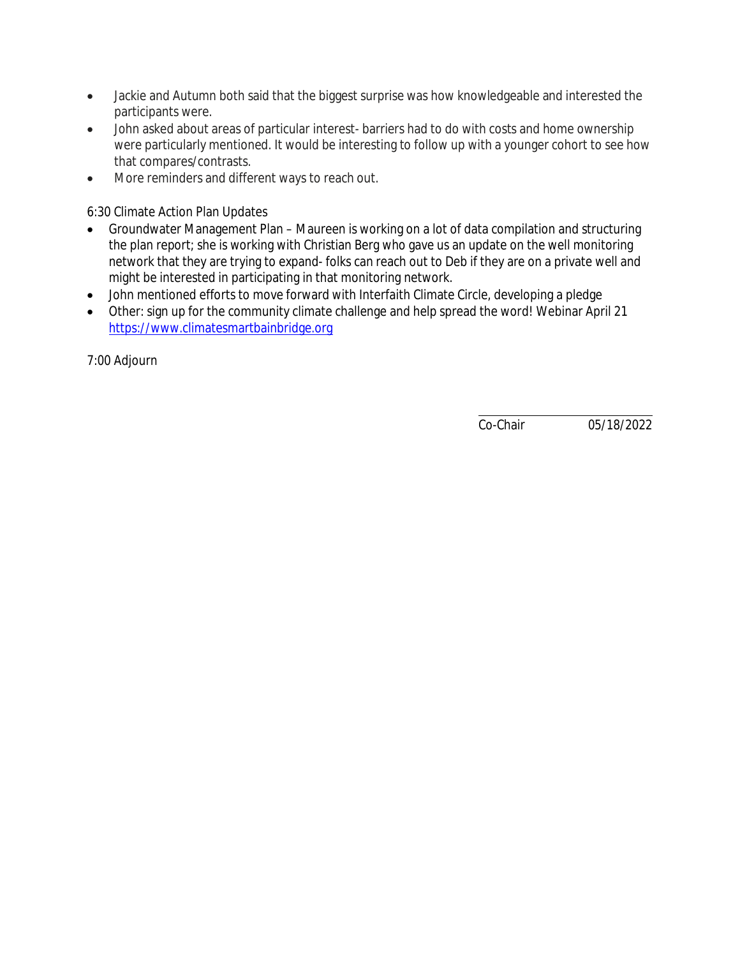- Jackie and Autumn both said that the biggest surprise was how knowledgeable and interested the participants were.
- John asked about areas of particular interest- barriers had to do with costs and home ownership were particularly mentioned. It would be interesting to follow up with a younger cohort to see how that compares/contrasts.
- More reminders and different ways to reach out.

6:30 Climate Action Plan Updates

- Groundwater Management Plan Maureen is working on a lot of data compilation and structuring the plan report; she is working with Christian Berg who gave us an update on the well monitoring network that they are trying to expand- folks can reach out to Deb if they are on a private well and might be interested in participating in that monitoring network.
- John mentioned efforts to move forward with Interfaith Climate Circle, developing a pledge
- Other: sign up for the community climate challenge and help spread the word! Webinar April 21 [https://www.climatesmartbainbridge.org](https://www.climatesmartbainbridge.org/)

7:00 Adjourn

Co-Chair 05/18/2022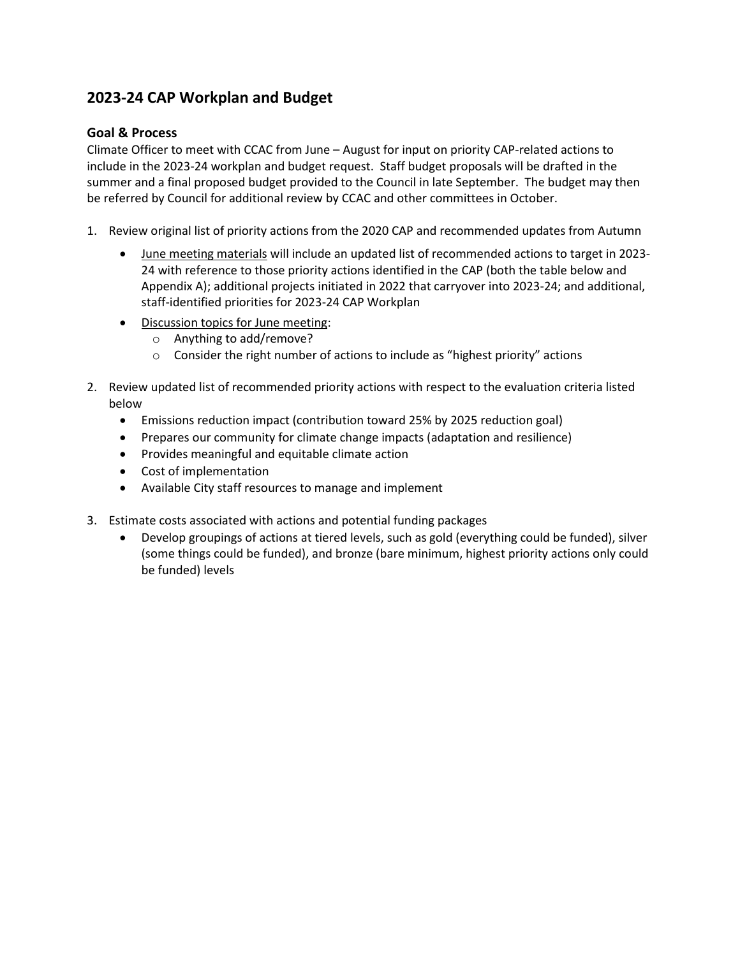## **2023-24 CAP Workplan and Budget**

### **Goal & Process**

Climate Officer to meet with CCAC from June – August for input on priority CAP-related actions to include in the 2023-24 workplan and budget request. Staff budget proposals will be drafted in the summer and a final proposed budget provided to the Council in late September. The budget may then be referred by Council for additional review by CCAC and other committees in October.

- 1. Review original list of priority actions from the 2020 CAP and recommended updates from Autumn
	- June meeting materials will include an updated list of recommended actions to target in 2023- 24 with reference to those priority actions identified in the CAP (both the table below and Appendix A); additional projects initiated in 2022 that carryover into 2023-24; and additional, staff-identified priorities for 2023-24 CAP Workplan
	- Discussion topics for June meeting:
		- o Anything to add/remove?
		- o Consider the right number of actions to include as "highest priority" actions
- 2. Review updated list of recommended priority actions with respect to the evaluation criteria listed below
	- Emissions reduction impact (contribution toward 25% by 2025 reduction goal)
	- Prepares our community for climate change impacts (adaptation and resilience)
	- Provides meaningful and equitable climate action
	- Cost of implementation
	- Available City staff resources to manage and implement
- 3. Estimate costs associated with actions and potential funding packages
	- Develop groupings of actions at tiered levels, such as gold (everything could be funded), silver (some things could be funded), and bronze (bare minimum, highest priority actions only could be funded) levels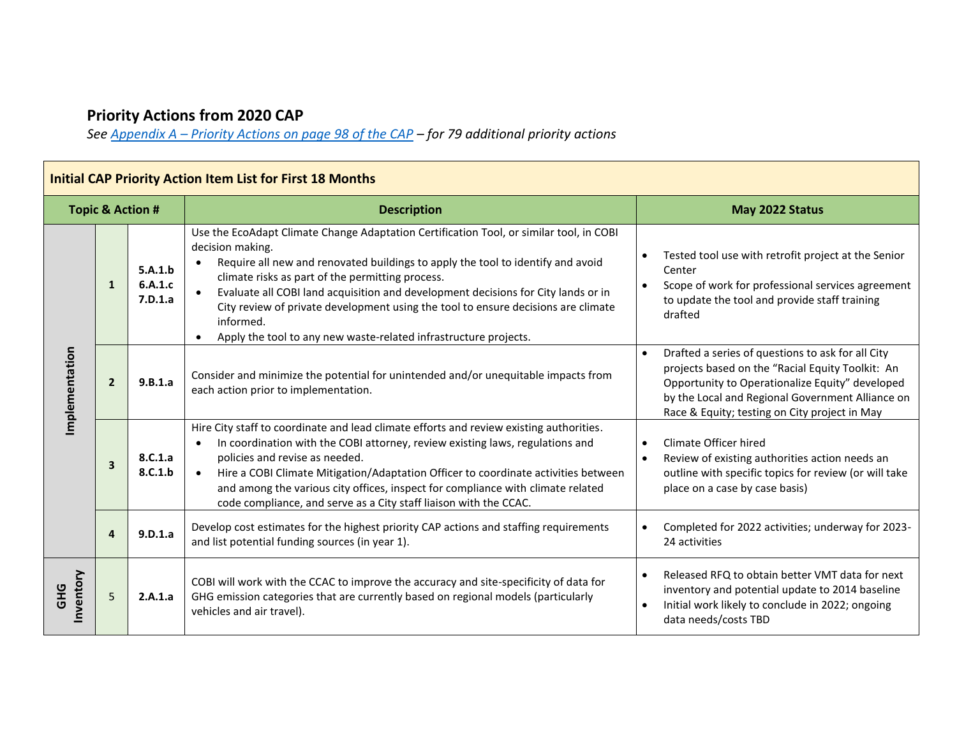# **Priority Actions from 2020 CAP**

*See Appendix A – [Priority Actions on page 98 of the CAP](https://www.bainbridgewa.gov/DocumentCenter/View/14354/Final-Bainbridge-Island-Climate-Action-Plan-November-12th-2020) – for 79 additional priority actions* 

| <b>Initial CAP Priority Action Item List for First 18 Months</b> |                |                               |                                                                                                                                                                                                                                                                                                                                                                                                                                                                                                                            |                                                                                                                                                                                                                                                                            |  |  |  |
|------------------------------------------------------------------|----------------|-------------------------------|----------------------------------------------------------------------------------------------------------------------------------------------------------------------------------------------------------------------------------------------------------------------------------------------------------------------------------------------------------------------------------------------------------------------------------------------------------------------------------------------------------------------------|----------------------------------------------------------------------------------------------------------------------------------------------------------------------------------------------------------------------------------------------------------------------------|--|--|--|
| <b>Topic &amp; Action #</b>                                      |                |                               | <b>Description</b>                                                                                                                                                                                                                                                                                                                                                                                                                                                                                                         | May 2022 Status                                                                                                                                                                                                                                                            |  |  |  |
| Implementation                                                   | $\mathbf{1}$   | 5.A.1.b<br>6.A.1.c<br>7.D.1.a | Use the EcoAdapt Climate Change Adaptation Certification Tool, or similar tool, in COBI<br>decision making.<br>Require all new and renovated buildings to apply the tool to identify and avoid<br>climate risks as part of the permitting process.<br>Evaluate all COBI land acquisition and development decisions for City lands or in<br>City review of private development using the tool to ensure decisions are climate<br>informed.<br>Apply the tool to any new waste-related infrastructure projects.<br>$\bullet$ | Tested tool use with retrofit project at the Senior<br>Center<br>Scope of work for professional services agreement<br>to update the tool and provide staff training<br>drafted                                                                                             |  |  |  |
|                                                                  | $\overline{2}$ | 9.B.1.a                       | Consider and minimize the potential for unintended and/or unequitable impacts from<br>each action prior to implementation.                                                                                                                                                                                                                                                                                                                                                                                                 | Drafted a series of questions to ask for all City<br>$\bullet$<br>projects based on the "Racial Equity Toolkit: An<br>Opportunity to Operationalize Equity" developed<br>by the Local and Regional Government Alliance on<br>Race & Equity; testing on City project in May |  |  |  |
|                                                                  | 3              | 8.C.1.a<br>8.C.1.b            | Hire City staff to coordinate and lead climate efforts and review existing authorities.<br>In coordination with the COBI attorney, review existing laws, regulations and<br>$\bullet$<br>policies and revise as needed.<br>Hire a COBI Climate Mitigation/Adaptation Officer to coordinate activities between<br>and among the various city offices, inspect for compliance with climate related<br>code compliance, and serve as a City staff liaison with the CCAC.                                                      | Climate Officer hired<br>$\bullet$<br>Review of existing authorities action needs an<br>outline with specific topics for review (or will take<br>place on a case by case basis)                                                                                            |  |  |  |
|                                                                  | 4              | 9.D.1.a                       | Develop cost estimates for the highest priority CAP actions and staffing requirements<br>and list potential funding sources (in year 1).                                                                                                                                                                                                                                                                                                                                                                                   | Completed for 2022 activities; underway for 2023-<br>24 activities                                                                                                                                                                                                         |  |  |  |
| Inventory<br><b>GHG</b>                                          | 5              | 2.A.1.a                       | COBI will work with the CCAC to improve the accuracy and site-specificity of data for<br>GHG emission categories that are currently based on regional models (particularly<br>vehicles and air travel).                                                                                                                                                                                                                                                                                                                    | Released RFQ to obtain better VMT data for next<br>inventory and potential update to 2014 baseline<br>Initial work likely to conclude in 2022; ongoing<br>$\bullet$<br>data needs/costs TBD                                                                                |  |  |  |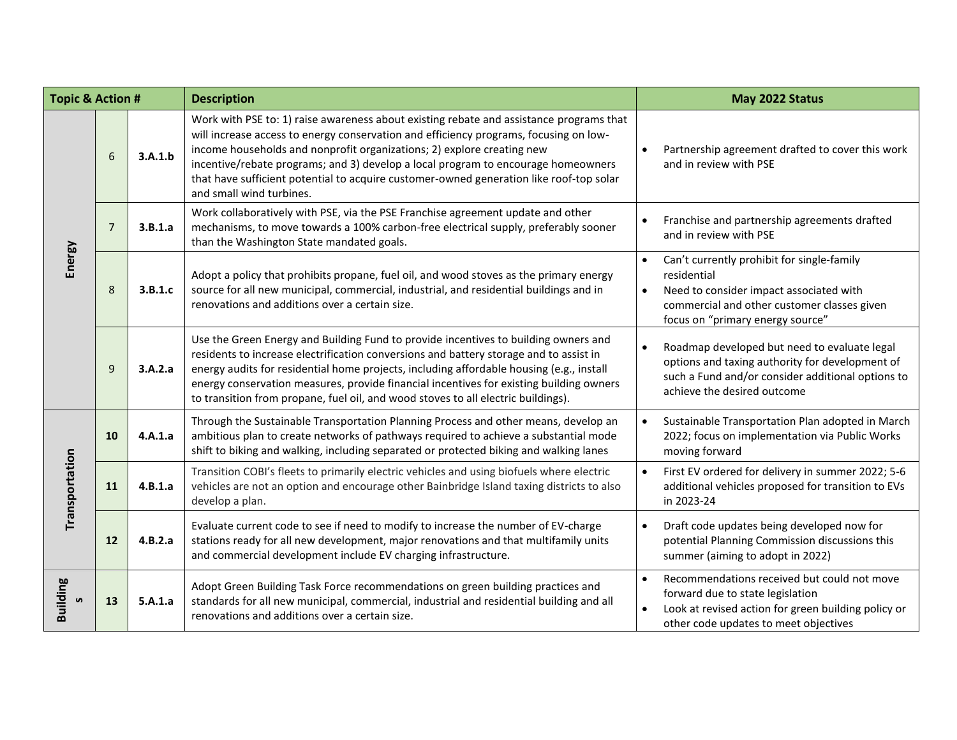| <b>Topic &amp; Action #</b> |                |         | <b>Description</b>                                                                                                                                                                                                                                                                                                                                                                                                                                                     | May 2022 Status                                                                                                                                                                         |
|-----------------------------|----------------|---------|------------------------------------------------------------------------------------------------------------------------------------------------------------------------------------------------------------------------------------------------------------------------------------------------------------------------------------------------------------------------------------------------------------------------------------------------------------------------|-----------------------------------------------------------------------------------------------------------------------------------------------------------------------------------------|
| Energy                      | 6              | 3.A.1.b | Work with PSE to: 1) raise awareness about existing rebate and assistance programs that<br>will increase access to energy conservation and efficiency programs, focusing on low-<br>income households and nonprofit organizations; 2) explore creating new<br>incentive/rebate programs; and 3) develop a local program to encourage homeowners<br>that have sufficient potential to acquire customer-owned generation like roof-top solar<br>and small wind turbines. | Partnership agreement drafted to cover this work<br>and in review with PSE                                                                                                              |
|                             | $\overline{7}$ | 3.B.1.a | Work collaboratively with PSE, via the PSE Franchise agreement update and other<br>mechanisms, to move towards a 100% carbon-free electrical supply, preferably sooner<br>than the Washington State mandated goals.                                                                                                                                                                                                                                                    | Franchise and partnership agreements drafted<br>and in review with PSE                                                                                                                  |
|                             | 8              | 3.B.1.c | Adopt a policy that prohibits propane, fuel oil, and wood stoves as the primary energy<br>source for all new municipal, commercial, industrial, and residential buildings and in<br>renovations and additions over a certain size.                                                                                                                                                                                                                                     | Can't currently prohibit for single-family<br>residential<br>Need to consider impact associated with<br>commercial and other customer classes given<br>focus on "primary energy source" |
|                             | 9              | 3.A.2.a | Use the Green Energy and Building Fund to provide incentives to building owners and<br>residents to increase electrification conversions and battery storage and to assist in<br>energy audits for residential home projects, including affordable housing (e.g., install<br>energy conservation measures, provide financial incentives for existing building owners<br>to transition from propane, fuel oil, and wood stoves to all electric buildings).              | Roadmap developed but need to evaluate legal<br>options and taxing authority for development of<br>such a Fund and/or consider additional options to<br>achieve the desired outcome     |
| Transportation              | 10             | 4.A.1.a | Through the Sustainable Transportation Planning Process and other means, develop an<br>ambitious plan to create networks of pathways required to achieve a substantial mode<br>shift to biking and walking, including separated or protected biking and walking lanes                                                                                                                                                                                                  | Sustainable Transportation Plan adopted in March<br>2022; focus on implementation via Public Works<br>moving forward                                                                    |
|                             | 11             | 4.B.1.a | Transition COBI's fleets to primarily electric vehicles and using biofuels where electric<br>vehicles are not an option and encourage other Bainbridge Island taxing districts to also<br>develop a plan.                                                                                                                                                                                                                                                              | First EV ordered for delivery in summer 2022; 5-6<br>additional vehicles proposed for transition to EVs<br>in 2023-24                                                                   |
|                             | 12             | 4.B.2.a | Evaluate current code to see if need to modify to increase the number of EV-charge<br>stations ready for all new development, major renovations and that multifamily units<br>and commercial development include EV charging infrastructure.                                                                                                                                                                                                                           | Draft code updates being developed now for<br>potential Planning Commission discussions this<br>summer (aiming to adopt in 2022)                                                        |
| <b>Building</b><br><b>S</b> | 13             | 5.A.1.a | Adopt Green Building Task Force recommendations on green building practices and<br>standards for all new municipal, commercial, industrial and residential building and all<br>renovations and additions over a certain size.                                                                                                                                                                                                                                          | Recommendations received but could not move<br>forward due to state legislation<br>Look at revised action for green building policy or<br>other code updates to meet objectives         |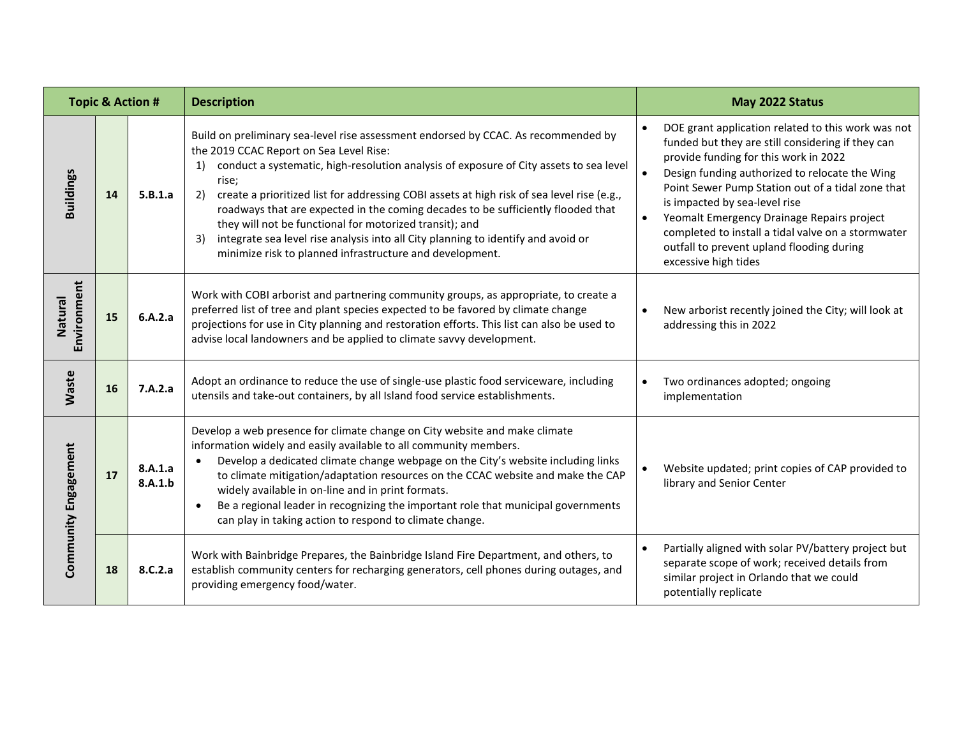| <b>Topic &amp; Action #</b> |           |                    | <b>Description</b>                                                                                                                                                                                                                                                                                                                                                                                                                                                                                                                                                                                                                               | May 2022 Status                                                                                                                                                                                                                                                                                                                                                                                                                                                   |
|-----------------------------|-----------|--------------------|--------------------------------------------------------------------------------------------------------------------------------------------------------------------------------------------------------------------------------------------------------------------------------------------------------------------------------------------------------------------------------------------------------------------------------------------------------------------------------------------------------------------------------------------------------------------------------------------------------------------------------------------------|-------------------------------------------------------------------------------------------------------------------------------------------------------------------------------------------------------------------------------------------------------------------------------------------------------------------------------------------------------------------------------------------------------------------------------------------------------------------|
| <b>Buildings</b>            | 14        | 5.B.1.a            | Build on preliminary sea-level rise assessment endorsed by CCAC. As recommended by<br>the 2019 CCAC Report on Sea Level Rise:<br>conduct a systematic, high-resolution analysis of exposure of City assets to sea level<br>1)<br>rise;<br>create a prioritized list for addressing COBI assets at high risk of sea level rise (e.g.,<br>2)<br>roadways that are expected in the coming decades to be sufficiently flooded that<br>they will not be functional for motorized transit); and<br>integrate sea level rise analysis into all City planning to identify and avoid or<br>3)<br>minimize risk to planned infrastructure and development. | DOE grant application related to this work was not<br>funded but they are still considering if they can<br>provide funding for this work in 2022<br>Design funding authorized to relocate the Wing<br>Point Sewer Pump Station out of a tidal zone that<br>is impacted by sea-level rise<br>Yeomalt Emergency Drainage Repairs project<br>completed to install a tidal valve on a stormwater<br>outfall to prevent upland flooding during<br>excessive high tides |
| Environment<br>Natural      | 15        | 6.A.2.a            | Work with COBI arborist and partnering community groups, as appropriate, to create a<br>preferred list of tree and plant species expected to be favored by climate change<br>projections for use in City planning and restoration efforts. This list can also be used to<br>advise local landowners and be applied to climate savvy development.                                                                                                                                                                                                                                                                                                 | New arborist recently joined the City; will look at<br>addressing this in 2022                                                                                                                                                                                                                                                                                                                                                                                    |
| Waste                       | <b>16</b> | 7.A.2.a            | Adopt an ordinance to reduce the use of single-use plastic food serviceware, including<br>utensils and take-out containers, by all Island food service establishments.                                                                                                                                                                                                                                                                                                                                                                                                                                                                           | Two ordinances adopted; ongoing<br>implementation                                                                                                                                                                                                                                                                                                                                                                                                                 |
| Community Engagement        | 17        | 8.A.1.a<br>8.A.1.b | Develop a web presence for climate change on City website and make climate<br>information widely and easily available to all community members.<br>Develop a dedicated climate change webpage on the City's website including links<br>to climate mitigation/adaptation resources on the CCAC website and make the CAP<br>widely available in on-line and in print formats.<br>Be a regional leader in recognizing the important role that municipal governments<br>can play in taking action to respond to climate change.                                                                                                                      | Website updated; print copies of CAP provided to<br>library and Senior Center                                                                                                                                                                                                                                                                                                                                                                                     |
|                             | 18        | 8.C.2.a            | Work with Bainbridge Prepares, the Bainbridge Island Fire Department, and others, to<br>establish community centers for recharging generators, cell phones during outages, and<br>providing emergency food/water.                                                                                                                                                                                                                                                                                                                                                                                                                                | Partially aligned with solar PV/battery project but<br>separate scope of work; received details from<br>similar project in Orlando that we could<br>potentially replicate                                                                                                                                                                                                                                                                                         |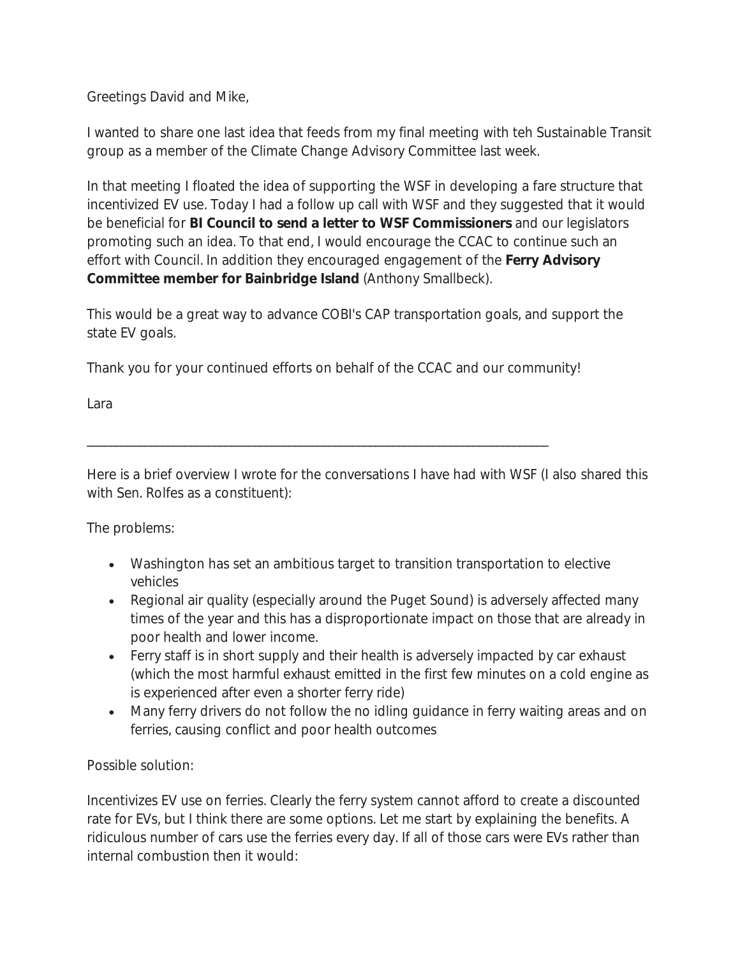Greetings David and Mike,

I wanted to share one last idea that feeds from my final meeting with teh Sustainable Transit group as a member of the Climate Change Advisory Committee last week.

In that meeting I floated the idea of supporting the WSF in developing a fare structure that incentivized EV use. Today I had a follow up call with WSF and they suggested that it would be beneficial for **BI Council to send a letter to WSF Commissioners** and our legislators promoting such an idea. To that end, I would encourage the CCAC to continue such an effort with Council. In addition they encouraged engagement of the **Ferry Advisory Committee member for Bainbridge Island** (Anthony Smallbeck).

This would be a great way to advance COBI's CAP transportation goals, and support the state EV goals.

Thank you for your continued efforts on behalf of the CCAC and our community!

Lara

\_\_\_\_\_\_\_\_\_\_\_\_\_\_\_\_\_\_\_\_\_\_\_\_\_\_\_\_\_\_\_\_\_\_\_\_\_\_\_\_\_\_\_\_\_\_\_\_\_\_\_\_\_\_\_\_\_\_\_\_\_\_\_\_\_\_\_\_\_\_\_\_\_\_\_\_\_\_\_\_

Here is a brief overview I wrote for the conversations I have had with WSF (I also shared this with Sen. Rolfes as a constituent):

The problems:

- Washington has set an ambitious target to transition transportation to elective vehicles
- Regional air quality (especially around the Puget Sound) is adversely affected many times of the year and this has a disproportionate impact on those that are already in poor health and lower income.
- Ferry staff is in short supply and their health is adversely impacted by car exhaust (which the most harmful exhaust emitted in the first few minutes on a cold engine as is experienced after even a shorter ferry ride)
- Many ferry drivers do not follow the no idling guidance in ferry waiting areas and on ferries, causing conflict and poor health outcomes

### Possible solution:

Incentivizes EV use on ferries. Clearly the ferry system cannot afford to create a discounted rate for EVs, but I think there are some options. Let me start by explaining the benefits. A ridiculous number of cars use the ferries every day. If all of those cars were EVs rather than internal combustion then it would: